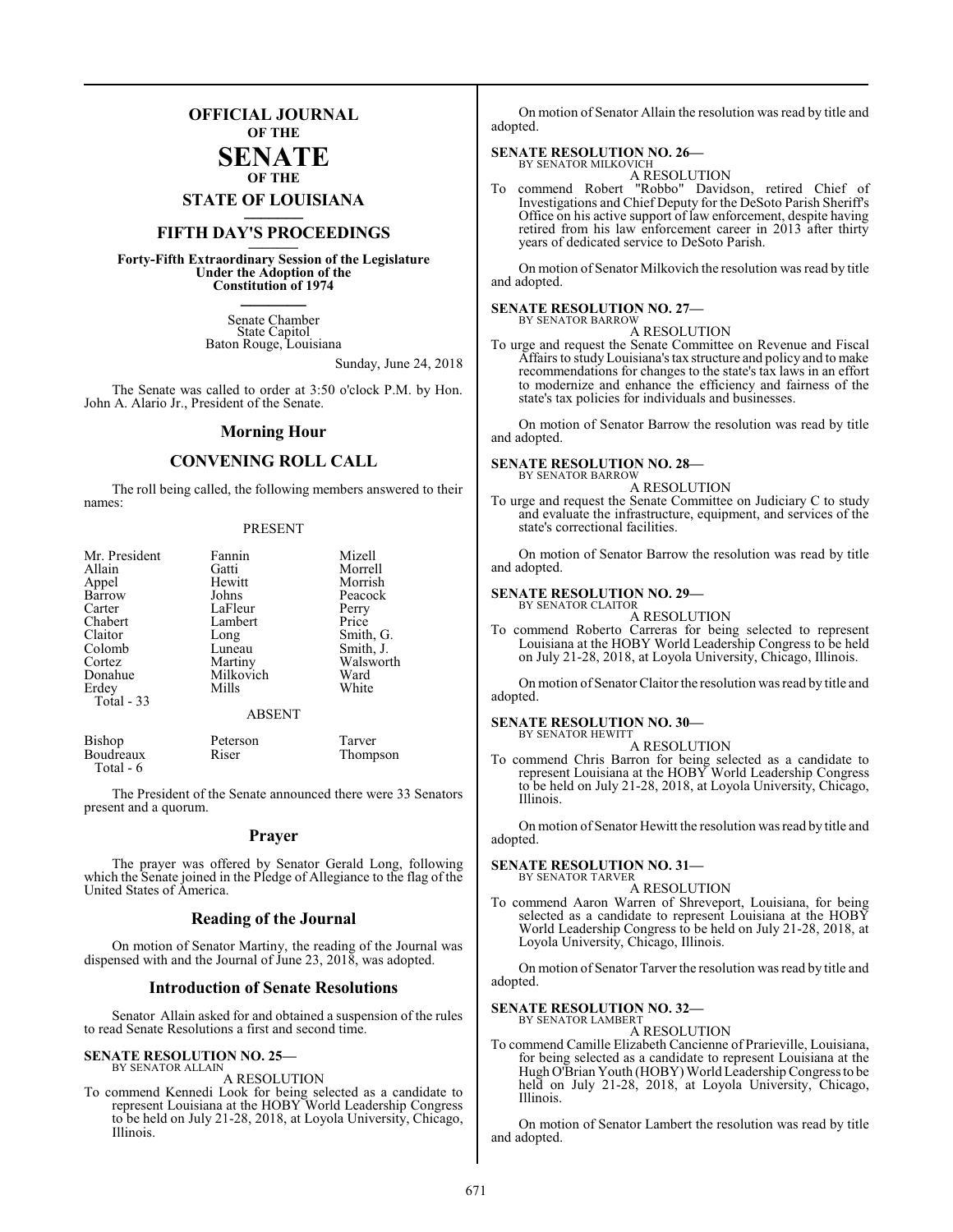## **OFFICIAL JOURNAL OF THE**

#### **SENATE OF THE**

**STATE OF LOUISIANA \_\_\_\_\_\_\_**

# **FIFTH DAY'S PROCEEDINGS \_\_\_\_\_\_\_**

**Forty-Fifth Extraordinary Session of the Legislature Under the Adoption of the Constitution of 1974 \_\_\_\_\_\_\_**

> Senate Chamber State Capitol Baton Rouge, Louisiana

> > Sunday, June 24, 2018

The Senate was called to order at 3:50 o'clock P.M. by Hon. John A. Alario Jr., President of the Senate.

#### **Morning Hour**

### **CONVENING ROLL CALL**

The roll being called, the following members answered to their names:

#### PRESENT

| Mr. President | Fannin        | Mizell    |
|---------------|---------------|-----------|
| Allain        | Gatti         | Morrell   |
| Appel         | Hewitt        | Morrish   |
| Barrow        | Johns         | Peacock   |
| Carter        | LaFleur       | Perry     |
| Chabert       | Lambert       | Price     |
| Claitor       | Long          | Smith, G. |
| Colomb        | Luneau        | Smith, J. |
| Cortez        | Martiny       | Walsworth |
| Donahue       | Milkovich     | Ward      |
| Erdey         | Mills         | White     |
| Total $-33$   |               |           |
|               | <b>ABSENT</b> |           |

| Bishop    | Peterson | Tarver   |
|-----------|----------|----------|
| Boudreaux | Riser    | Thompson |
| Total - 6 |          |          |

The President of the Senate announced there were 33 Senators present and a quorum.

#### **Prayer**

The prayer was offered by Senator Gerald Long, following which the Senate joined in the Pledge of Allegiance to the flag of the United States of America.

#### **Reading of the Journal**

On motion of Senator Martiny, the reading of the Journal was dispensed with and the Journal of June 23, 2018, was adopted.

#### **Introduction of Senate Resolutions**

Senator Allain asked for and obtained a suspension of the rules to read Senate Resolutions a first and second time.

#### **SENATE RESOLUTION NO. 25—** BY SENATOR ALLAIN

A RESOLUTION

To commend Kennedi Look for being selected as a candidate to represent Louisiana at the HOBY World Leadership Congress to be held on July 21-28, 2018, at Loyola University, Chicago, Illinois.

On motion of Senator Allain the resolution was read by title and adopted.

#### **SENATE RESOLUTION NO. 26—** BY SENATOR MILKOVICH

A RESOLUTION

To commend Robert "Robbo" Davidson, retired Chief of Investigations and Chief Deputy for the DeSoto Parish Sheriff's Office on his active support of law enforcement, despite having retired from his law enforcement career in 2013 after thirty years of dedicated service to DeSoto Parish.

On motion of Senator Milkovich the resolution was read by title and adopted.

#### **SENATE RESOLUTION NO. 27—**

BY SENATOR BARROW A RESOLUTION

To urge and request the Senate Committee on Revenue and Fiscal Affairs to study Louisiana's tax structure and policy and to make recommendations for changes to the state's tax laws in an effort to modernize and enhance the efficiency and fairness of the state's tax policies for individuals and businesses.

On motion of Senator Barrow the resolution was read by title and adopted.

#### **SENATE RESOLUTION NO. 28—**

BY SENATOR BARROW A RESOLUTION

To urge and request the Senate Committee on Judiciary C to study and evaluate the infrastructure, equipment, and services of the state's correctional facilities.

On motion of Senator Barrow the resolution was read by title and adopted.

#### **SENATE RESOLUTION NO. 29—** BY SENATOR CLAITOR

A RESOLUTION

To commend Roberto Carreras for being selected to represent Louisiana at the HOBY World Leadership Congress to be held on July 21-28, 2018, at Loyola University, Chicago, Illinois.

On motion of Senator Claitor the resolution was read by title and adopted.

#### **SENATE RESOLUTION NO. 30—**

BY SENATOR HEWITT A RESOLUTION

To commend Chris Barron for being selected as a candidate to represent Louisiana at the HOBY World Leadership Congress to be held on July 21-28, 2018, at Loyola University, Chicago, Illinois.

On motion of Senator Hewitt the resolution was read by title and adopted.

#### **SENATE RESOLUTION NO. 31—** BY SENATOR TARVER

A RESOLUTION

To commend Aaron Warren of Shreveport, Louisiana, for being selected as a candidate to represent Louisiana at the HOBY World Leadership Congress to be held on July 21-28, 2018, at Loyola University, Chicago, Illinois.

On motion of Senator Tarver the resolution was read by title and adopted.

# **SENATE RESOLUTION NO. 32—** BY SENATOR LAMBERT

A RESOLUTION

To commend Camille Elizabeth Cancienne of Prarieville, Louisiana, for being selected as a candidate to represent Louisiana at the Hugh O'Brian Youth (HOBY) World Leadership Congress to be held on July 21-28, 2018, at Loyola University, Chicago, Illinois.

On motion of Senator Lambert the resolution was read by title and adopted.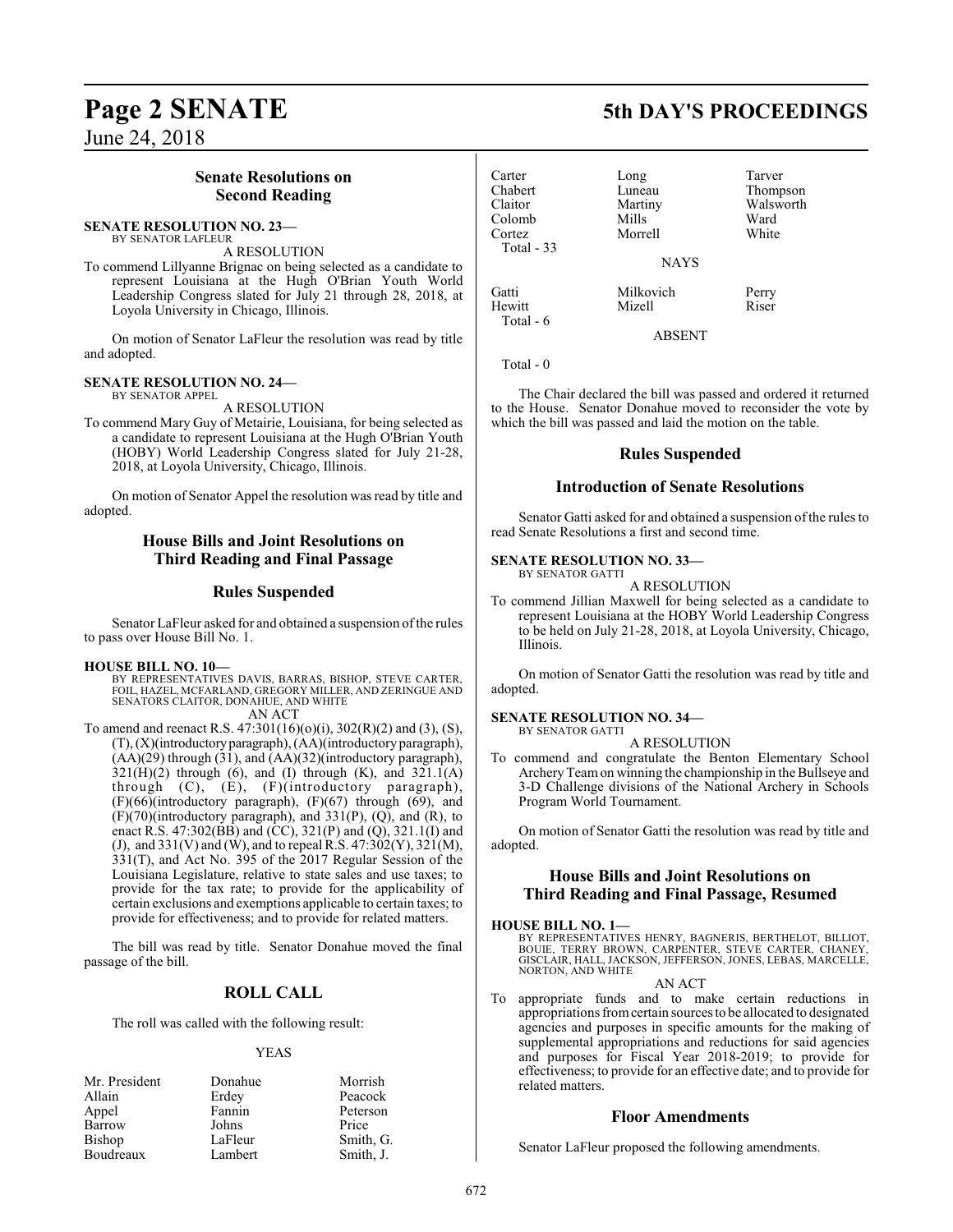June 24, 2018

### **Senate Resolutions on Second Reading**

#### **SENATE RESOLUTION NO. 23—** BY SENATOR LAFLEUR

A RESOLUTION

To commend Lillyanne Brignac on being selected as a candidate to represent Louisiana at the Hugh O'Brian Youth World Leadership Congress slated for July 21 through 28, 2018, at Loyola University in Chicago, Illinois.

On motion of Senator LaFleur the resolution was read by title and adopted.

#### **SENATE RESOLUTION NO. 24—** BY SENATOR APPEL

A RESOLUTION

To commend Mary Guy of Metairie, Louisiana, for being selected as a candidate to represent Louisiana at the Hugh O'Brian Youth (HOBY) World Leadership Congress slated for July 21-28, 2018, at Loyola University, Chicago, Illinois.

On motion of Senator Appel the resolution was read by title and adopted.

### **House Bills and Joint Resolutions on Third Reading and Final Passage**

### **Rules Suspended**

Senator LaFleur asked for and obtained a suspension of the rules to pass over House Bill No. 1.

#### **HOUSE BILL NO. 10—**

BY REPRESENTATIVES DAVIS, BARRAS, BISHOP, STEVE CARTER, FOIL, HAZEL, MCFARLAND, GREGORY MILLER, AND ZERINGUE AND SENATORS CLAITOR, DONAHUE, AND WHITE AN ACT

To amend and reenact R.S. 47:301(16)(o)(i), 302(R)(2) and (3), (S), (T), (X)(introductoryparagraph), (AA)(introductory paragraph), (AA)(29) through (31), and (AA)(32)(introductory paragraph),  $321(H)(2)$  through (6), and (I) through (K), and  $321.1(A)$ through (C), (E), (F)(introductory paragraph), (F)(66)(introductory paragraph), (F)(67) through (69), and (F)(70)(introductory paragraph), and 331(P), (Q), and (R), to enact R.S. 47:302(BB) and (CC), 321(P) and (Q), 321.1(I) and (J), and 331(V) and (W), and to repeal R.S. 47:302(Y), 321(M), 331(T), and Act No. 395 of the 2017 Regular Session of the Louisiana Legislature, relative to state sales and use taxes; to provide for the tax rate; to provide for the applicability of certain exclusions and exemptions applicable to certain taxes; to provide for effectiveness; and to provide for related matters.

The bill was read by title. Senator Donahue moved the final passage of the bill.

### **ROLL CALL**

The roll was called with the following result:

#### YEAS

| Mr. President | Donahue | Morrish   |
|---------------|---------|-----------|
| Allain        | Erdey   | Peacock   |
| Appel         | Fannin  | Peterson  |
| Barrow        | Johns   | Price     |
| Bishop        | LaFleur | Smith, G. |
| Boudreaux     | Lambert | Smith, J. |

# **Page 2 SENATE 5th DAY'S PROCEEDINGS**

| Carter     | Long        | Tarver    |
|------------|-------------|-----------|
| Chabert    | Luneau      | Thompson  |
| Claitor    | Martiny     | Walsworth |
| Colomb     | Mills       | Ward      |
| Cortez     | Morrell     | White     |
| Total - 33 |             |           |
|            | <b>NAYS</b> |           |
| Gatti      | Milkovich   | Perry     |
| Hewitt     | Mizell      | Riser     |

Total - 6

ABSENT

Total - 0

The Chair declared the bill was passed and ordered it returned to the House. Senator Donahue moved to reconsider the vote by which the bill was passed and laid the motion on the table.

### **Rules Suspended**

### **Introduction of Senate Resolutions**

Senator Gatti asked for and obtained a suspension of the rules to read Senate Resolutions a first and second time.

#### **SENATE RESOLUTION NO. 33—** BY SENATOR GATTI

A RESOLUTION

To commend Jillian Maxwell for being selected as a candidate to represent Louisiana at the HOBY World Leadership Congress to be held on July 21-28, 2018, at Loyola University, Chicago, Illinois.

On motion of Senator Gatti the resolution was read by title and adopted.

#### **SENATE RESOLUTION NO. 34—** BY SENATOR GATTI

A RESOLUTION

To commend and congratulate the Benton Elementary School Archery Teamon winning the championship in the Bullseye and 3-D Challenge divisions of the National Archery in Schools Program World Tournament.

On motion of Senator Gatti the resolution was read by title and adopted.

### **House Bills and Joint Resolutions on Third Reading and Final Passage, Resumed**

#### **HOUSE BILL NO. 1—**

BY REPRESENTATIVES HENRY, BAGNERIS, BERTHELOT, BILLIOT, BOUIE, TERRY BROWN, CARPENTER, STEVE CARTER, CHANEY, GISCLAIR, HALL, JACKSON, JEFFERSON, JONES, LEBAS, MARCELLE, NORTON, AND WHITE

#### AN ACT

To appropriate funds and to make certain reductions in appropriations fromcertain sources to be allocated to designated agencies and purposes in specific amounts for the making of supplemental appropriations and reductions for said agencies and purposes for Fiscal Year 2018-2019; to provide for effectiveness; to provide for an effective date; and to provide for related matters.

### **Floor Amendments**

Senator LaFleur proposed the following amendments.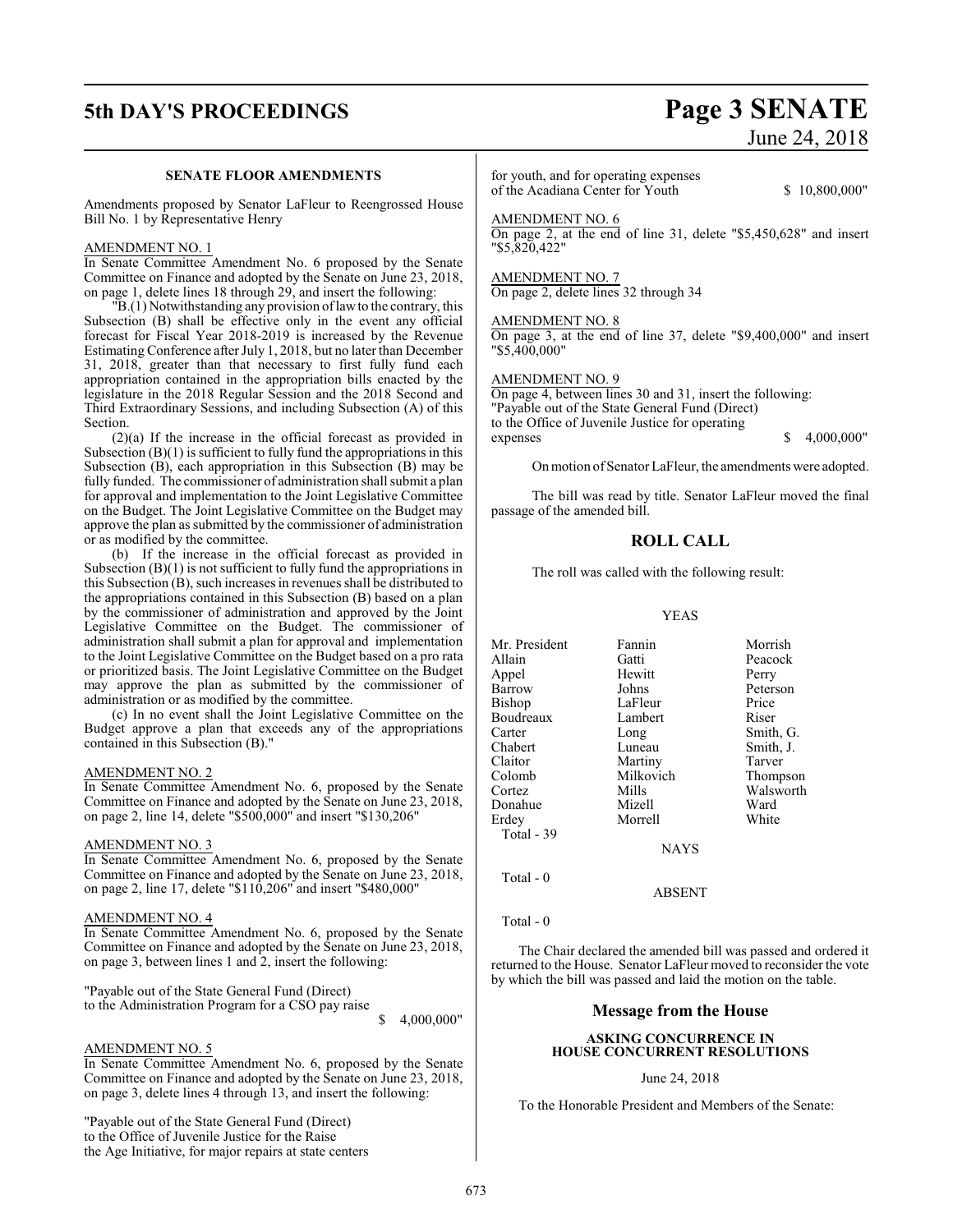# **5th DAY'S PROCEEDINGS Page 3 SENATE**

# June 24, 2018

#### **SENATE FLOOR AMENDMENTS**

Amendments proposed by Senator LaFleur to Reengrossed House Bill No. 1 by Representative Henry

#### AMENDMENT NO. 1

In Senate Committee Amendment No. 6 proposed by the Senate Committee on Finance and adopted by the Senate on June 23, 2018, on page 1, delete lines 18 through 29, and insert the following:

"B.(1) Notwithstanding anyprovision oflawto the contrary, this Subsection (B) shall be effective only in the event any official forecast for Fiscal Year 2018-2019 is increased by the Revenue Estimating Conference after July 1, 2018, but no later than December 31, 2018, greater than that necessary to first fully fund each appropriation contained in the appropriation bills enacted by the legislature in the 2018 Regular Session and the 2018 Second and Third Extraordinary Sessions, and including Subsection (A) of this Section.

(2)(a) If the increase in the official forecast as provided in Subsection  $(B)(1)$  is sufficient to fully fund the appropriations in this Subsection (B), each appropriation in this Subsection (B) may be fully funded. The commissioner of administration shall submit a plan for approval and implementation to the Joint Legislative Committee on the Budget. The Joint Legislative Committee on the Budget may approve the plan as submitted by the commissioner of administration or as modified by the committee.

(b) If the increase in the official forecast as provided in Subsection  $(B)(1)$  is not sufficient to fully fund the appropriations in this Subsection  $(B)$ , such increases in revenues shall be distributed to the appropriations contained in this Subsection (B) based on a plan by the commissioner of administration and approved by the Joint Legislative Committee on the Budget. The commissioner of administration shall submit a plan for approval and implementation to the Joint Legislative Committee on the Budget based on a pro rata or prioritized basis. The Joint Legislative Committee on the Budget may approve the plan as submitted by the commissioner of administration or as modified by the committee.

(c) In no event shall the Joint Legislative Committee on the Budget approve a plan that exceeds any of the appropriations contained in this Subsection (B)."

#### AMENDMENT NO. 2

In Senate Committee Amendment No. 6, proposed by the Senate Committee on Finance and adopted by the Senate on June 23, 2018, on page 2, line 14, delete "\$500,000" and insert "\$130,206"

#### AMENDMENT NO. 3

In Senate Committee Amendment No. 6, proposed by the Senate Committee on Finance and adopted by the Senate on June 23, 2018, on page 2, line 17, delete "\$110,206" and insert "\$480,000"

#### AMENDMENT NO. 4

In Senate Committee Amendment No. 6, proposed by the Senate Committee on Finance and adopted by the Senate on June 23, 2018, on page 3, between lines 1 and 2, insert the following:

"Payable out of the State General Fund (Direct) to the Administration Program for a CSO pay raise

#### \$ 4,000,000"

#### AMENDMENT NO. 5

In Senate Committee Amendment No. 6, proposed by the Senate Committee on Finance and adopted by the Senate on June 23, 2018, on page 3, delete lines 4 through 13, and insert the following:

"Payable out of the State General Fund (Direct) to the Office of Juvenile Justice for the Raise the Age Initiative, for major repairs at state centers for youth, and for operating expenses of the Acadiana Center for Youth \$ 10,800,000"

AMENDMENT NO. 6 On page 2, at the end of line 31, delete "\$5,450,628" and insert "\$5,820,422"

#### AMENDMENT NO. 7 On page 2, delete lines 32 through 34

#### AMENDMENT NO. 8

On page 3, at the end of line 37, delete "\$9,400,000" and insert "\$5,400,000"

#### AMENDMENT NO. 9

On page 4, between lines 30 and 31, insert the following: "Payable out of the State General Fund (Direct) to the Office of Juvenile Justice for operating expenses \$ 4,000,000"

On motion ofSenator LaFleur, the amendments were adopted.

The bill was read by title. Senator LaFleur moved the final passage of the amended bill.

#### **ROLL CALL**

The roll was called with the following result:

#### YEAS

Mr. President Fannin Morrish Allain Gatti Peacock Appel Barrow Johns Peterson<br>Bishop LaFleur Price Bishop LaFleur Price<br>Boudreaux Lambert Riser Boudreaux Lamb<br>Carter Long Carter Long Smith, G.<br>
Chabert Luneau Smith, J. Chabert Luneau Smith, J.<br>
Claitor Martiny Tarver Claitor Martiny Tarver<br>
Colomb Milkovich Thompson Milkovich Cortez Mills Walsworth Donahue Erdey Morrell White Total - 39 NAYS

#### ABSENT

Total - 0

Total - 0

The Chair declared the amended bill was passed and ordered it returned to the House. Senator LaFleur moved to reconsider the vote by which the bill was passed and laid the motion on the table.

#### **Message from the House**

#### **ASKING CONCURRENCE IN HOUSE CONCURRENT RESOLUTIONS**

#### June 24, 2018

To the Honorable President and Members of the Senate: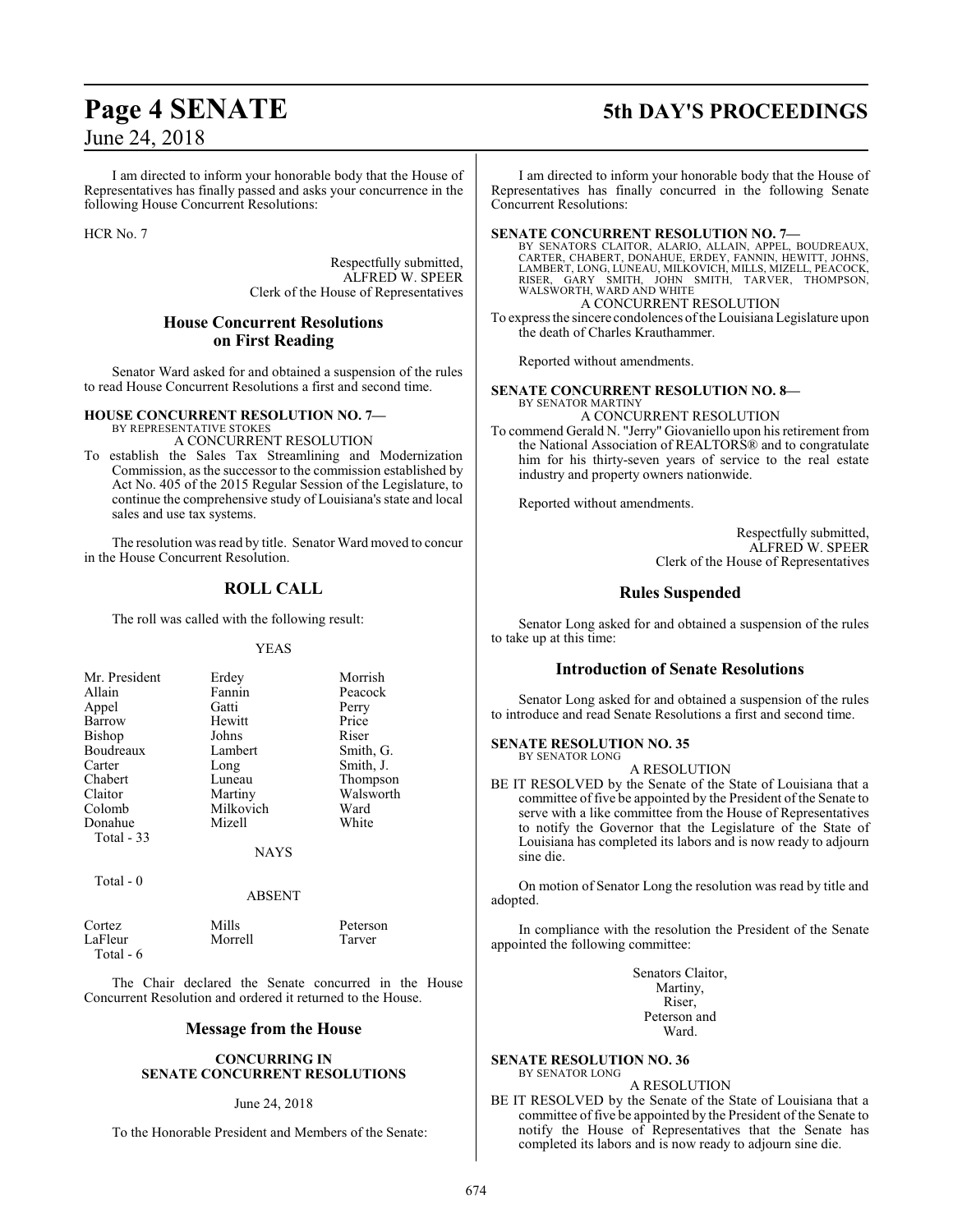# **Page 4 SENATE 5th DAY'S PROCEEDINGS**

# June 24, 2018

I am directed to inform your honorable body that the House of Representatives has finally passed and asks your concurrence in the following House Concurrent Resolutions:

HCR No. 7

Respectfully submitted, ALFRED W. SPEER Clerk of the House of Representatives

### **House Concurrent Resolutions on First Reading**

Senator Ward asked for and obtained a suspension of the rules to read House Concurrent Resolutions a first and second time.

#### **HOUSE CONCURRENT RESOLUTION NO. 7—** BY REPRESENTATIVE STOKES

A CONCURRENT RESOLUTION

To establish the Sales Tax Streamlining and Modernization Commission, as the successor to the commission established by Act No. 405 of the 2015 Regular Session of the Legislature, to continue the comprehensive study of Louisiana's state and local sales and use tax systems.

The resolution was read by title. Senator Ward moved to concur in the House Concurrent Resolution.

### **ROLL CALL**

The roll was called with the following result:

#### YEAS

| Mr. President | Erdey     | Morrish   |
|---------------|-----------|-----------|
| Allain        | Fannin    | Peacock   |
| Appel         | Gatti     | Perry     |
| Barrow        | Hewitt    | Price     |
| <b>Bishop</b> | Johns     | Riser     |
| Boudreaux     | Lambert   | Smith, G. |
| Carter        | Long      | Smith, J. |
| Chabert       | Luneau    | Thompson  |
| Claitor       | Martiny   | Walsworth |
| Colomb        | Milkovich | Ward      |
| Donahue       | Mizell    | White     |
| Total - 33    |           |           |
|               | NAYS      |           |

Total - 0

#### ABSENT

Cortez Mills Peterson LaFleur Total - 6

The Chair declared the Senate concurred in the House Concurrent Resolution and ordered it returned to the House.

#### **Message from the House**

#### **CONCURRING IN SENATE CONCURRENT RESOLUTIONS**

#### June 24, 2018

To the Honorable President and Members of the Senate:

I am directed to inform your honorable body that the House of Representatives has finally concurred in the following Senate Concurrent Resolutions:

#### **SENATE CONCURRENT RESOLUTION NO. 7—**

BY SENATORS CLAITOR, ALARIO, ALLAIN, APPEL, BOUDREAUX,<br>CARTER, CHABERT, DONAHUE, ERDEY, FANNIN, HEWITT, JOHNS,<br>LAMBERT, LONG, LUNEAU, MILKOVICH, MILLS, MIZELL, PEACOCK,<br>RISER, GARY SMITH, JOHN SMITH, TARVER, THOMPSON,<br>WALS

A CONCURRENT RESOLUTION

To express the sincere condolences oftheLouisiana Legislature upon the death of Charles Krauthammer.

Reported without amendments.

#### **SENATE CONCURRENT RESOLUTION NO. 8—** BY SENATOR MARTINY

A CONCURRENT RESOLUTION

To commend Gerald N. "Jerry" Giovaniello upon his retirement from the National Association of REALTORS® and to congratulate him for his thirty-seven years of service to the real estate industry and property owners nationwide.

Reported without amendments.

Respectfully submitted, ALFRED W. SPEER Clerk of the House of Representatives

### **Rules Suspended**

Senator Long asked for and obtained a suspension of the rules to take up at this time:

### **Introduction of Senate Resolutions**

Senator Long asked for and obtained a suspension of the rules to introduce and read Senate Resolutions a first and second time.

#### **SENATE RESOLUTION NO. 35**

BY SENATOR LONG A RESOLUTION

BE IT RESOLVED by the Senate of the State of Louisiana that a committee of five be appointed by the President of the Senate to serve with a like committee from the House of Representatives to notify the Governor that the Legislature of the State of Louisiana has completed its labors and is now ready to adjourn sine die.

On motion of Senator Long the resolution was read by title and adopted.

In compliance with the resolution the President of the Senate appointed the following committee:

> Senators Claitor, Martiny, Riser, Peterson and Ward.

**SENATE RESOLUTION NO. 36** BY SENATOR LONG

A RESOLUTION

BE IT RESOLVED by the Senate of the State of Louisiana that a committee of five be appointed by the President of the Senate to notify the House of Representatives that the Senate has completed its labors and is now ready to adjourn sine die.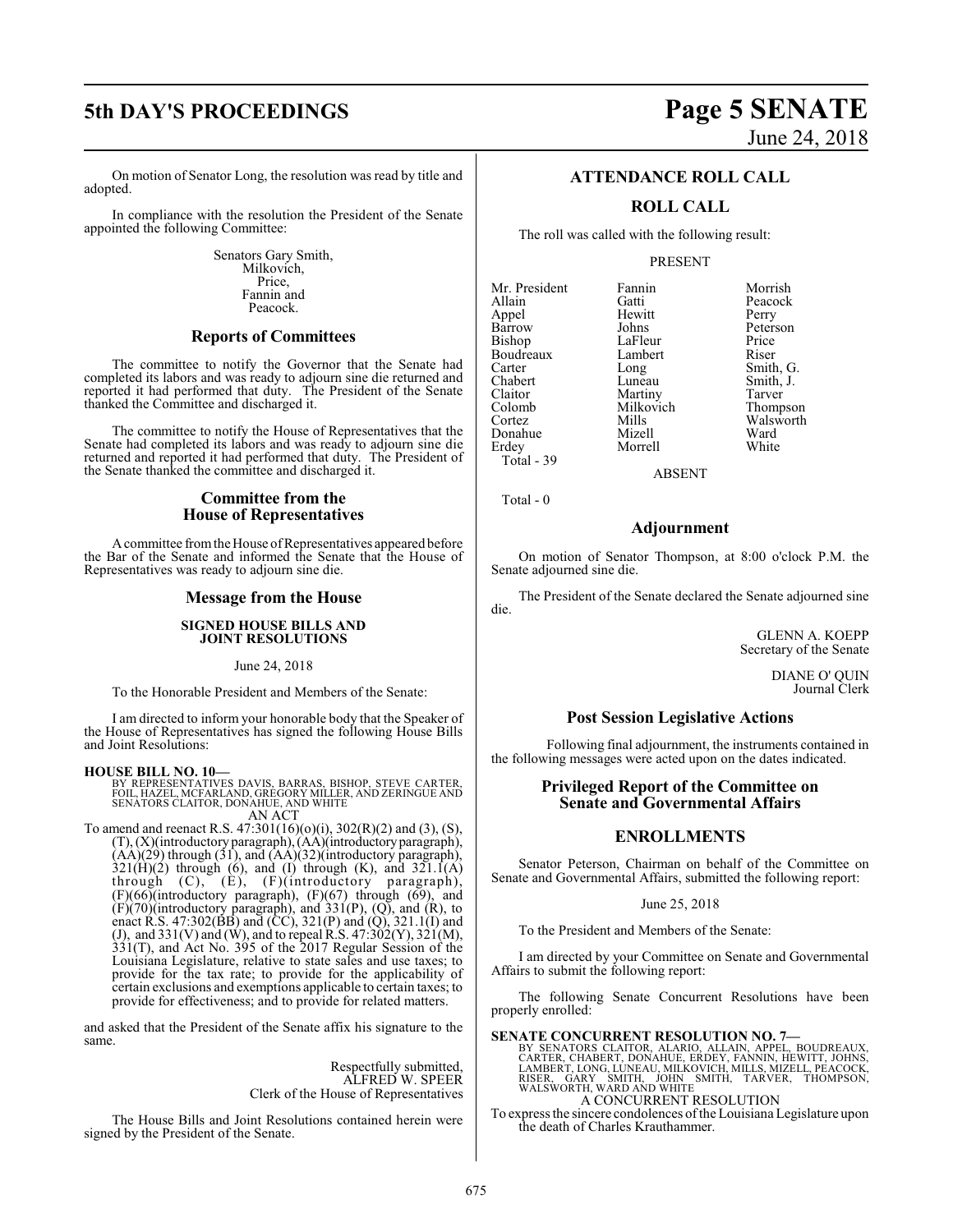# **5th DAY'S PROCEEDINGS Page 5 SENATE**

On motion of Senator Long, the resolution was read by title and adopted.

In compliance with the resolution the President of the Senate appointed the following Committee:

> Senators Gary Smith, Milkovich, Price, Fannin and Peacock.

#### **Reports of Committees**

The committee to notify the Governor that the Senate had completed its labors and was ready to adjourn sine die returned and reported it had performed that duty. The President of the Senate thanked the Committee and discharged it.

The committee to notify the House of Representatives that the Senate had completed its labors and was ready to adjourn sine die returned and reported it had performed that duty. The President of the Senate thanked the committee and discharged it.

#### **Committee from the House of Representatives**

Acommittee fromtheHouse ofRepresentatives appeared before the Bar of the Senate and informed the Senate that the House of Representatives was ready to adjourn sine die.

#### **Message from the House**

#### **SIGNED HOUSE BILLS AND JOINT RESOLUTIONS**

June 24, 2018

To the Honorable President and Members of the Senate:

I am directed to inform your honorable body that the Speaker of the House of Representatives has signed the following House Bills and Joint Resolutions:

#### **HOUSE BILL NO. 10—**

BY REPRESENTATIVES DAVIS, BARRAS, BISHOP, STEVE CARTER, FOIL, HAZEL, MCFARLAND, GREGORY MILLER, AND ZERINGUE AND SENATORS CLAITOR, DONAHUE, AND WHITE AN ACT

To amend and reenact R.S. 47:301(16)(o)(i), 302(R)(2) and (3), (S), (T), (X)(introductory paragraph),(AA)(introductoryparagraph),  $(AA)(29)$  through  $(31)$ , and  $(AA)(32)$ (introductory paragraph),  $321(H)(2)$  through (6), and (I) through (K), and  $321.1(A)$ through (C), (E), (F)(introductory paragraph),  $(F)(66)$ (introductory paragraph),  $(F)(67)$  through  $(69)$ , and  $(F)(70)$ (introductory paragraph), and 331 $(P)$ ,  $(Q)$ , and  $(R)$ , to enact R.S. 47:302(BB) and (CC), 321(P) and (Q), 321.1(I) and (J), and  $331(V)$  and (W), and to repeal R.S.  $47:302(Y)$ ,  $321(M)$ , 331(T), and Act No. 395 of the 2017 Regular Session of the Louisiana Legislature, relative to state sales and use taxes; to provide for the tax rate; to provide for the applicability of certain exclusions and exemptions applicable to certain taxes; to provide for effectiveness; and to provide for related matters.

and asked that the President of the Senate affix his signature to the same.

> Respectfully submitted, ALFRED W. SPEER Clerk of the House of Representatives

The House Bills and Joint Resolutions contained herein were signed by the President of the Senate.

### **ATTENDANCE ROLL CALL**

### **ROLL CALL**

The roll was called with the following result:

#### PRESENT

| Mr. President | Fannin    | Morrish   |
|---------------|-----------|-----------|
| Allain        | Gatti     | Peacock   |
| Appel         | Hewitt    | Perry     |
| Barrow        | Johns     | Peterson  |
| Bishop        | LaFleur   | Price     |
| Boudreaux     | Lambert   | Riser     |
| Carter        | Long      | Smith, G. |
| Chabert       | Luneau    | Smith, J. |
| Claitor       | Martiny   | Tarver    |
| Colomb        | Milkovich | Thompson  |
| Cortez        | Mills     | Walsworth |
| Donahue       | Mizell    | Ward      |
| Erdey         | Morrell   | White     |
| Total - 39    |           |           |

ABSENT

Total - 0

#### **Adjournment**

On motion of Senator Thompson, at 8:00 o'clock P.M. the Senate adjourned sine die.

The President of the Senate declared the Senate adjourned sine die.

> GLENN A. KOEPP Secretary of the Senate

> > DIANE O' QUIN Journal Clerk

#### **Post Session Legislative Actions**

Following final adjournment, the instruments contained in the following messages were acted upon on the dates indicated.

#### **Privileged Report of the Committee on Senate and Governmental Affairs**

#### **ENROLLMENTS**

Senator Peterson, Chairman on behalf of the Committee on Senate and Governmental Affairs, submitted the following report:

#### June 25, 2018

To the President and Members of the Senate:

I am directed by your Committee on Senate and Governmental Affairs to submit the following report:

The following Senate Concurrent Resolutions have been properly enrolled:

**SENATE CONCURRENT RESOLUTION NO. 7—**<br>BY SENATORS CLAITOR, ALARIO, ALLAIN, APPEL, BOUDREAUX,<br>CARTER, CHABERT, DONAHUE, ERDEY, FANNIN, HEWITT, JOHNS,<br>LAMBERT, LONG, LUNEAU, MILKOVICH, MILLS, MIZELL, PEACOCK,<br>RISER, GARY SMI A CONCURRENT RESOLUTION

To express the sincere condolences ofthe Louisiana Legislature upon the death of Charles Krauthammer.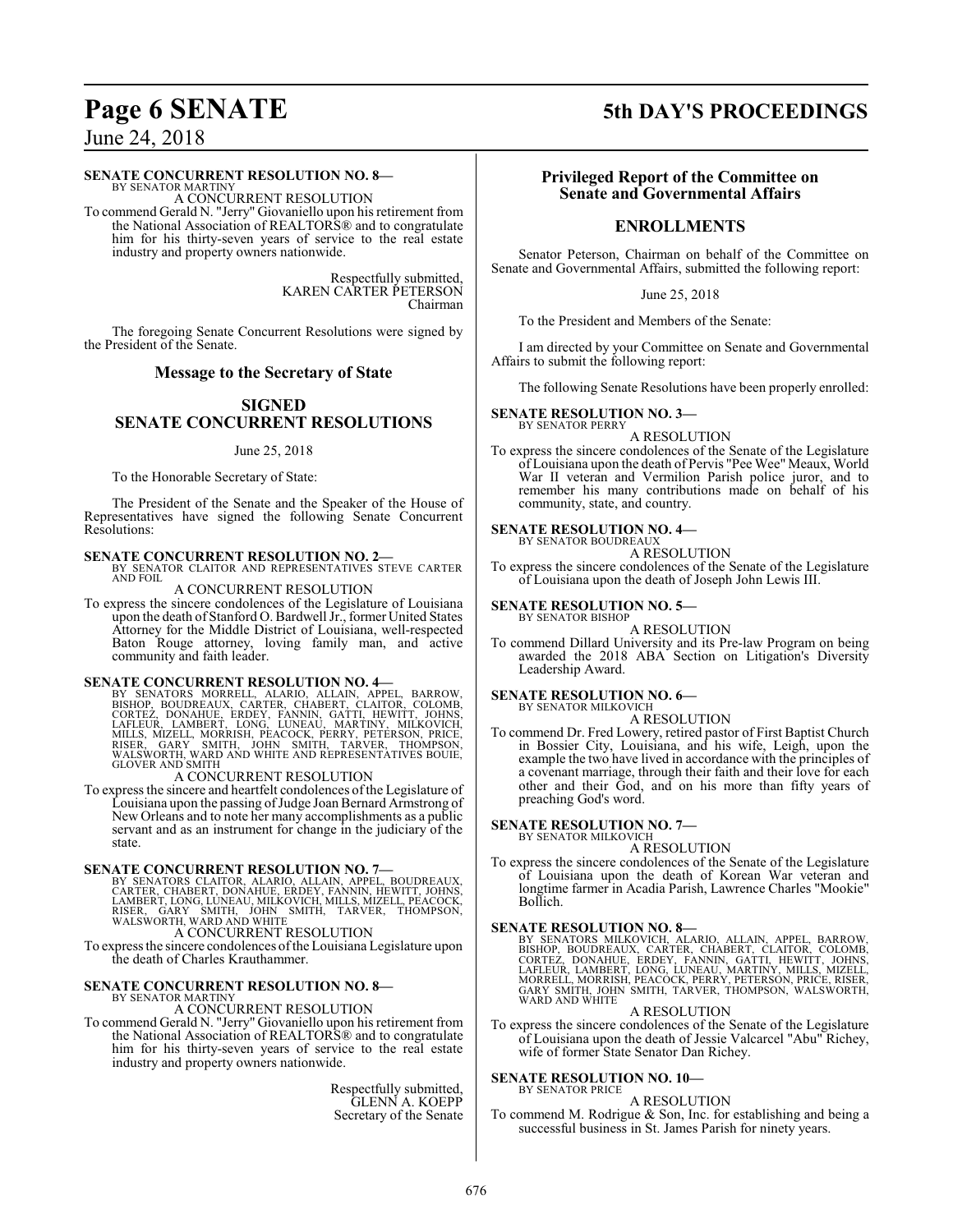# **Page 6 SENATE 5th DAY'S PROCEEDINGS**

June 24, 2018

#### **SENATE CONCURRENT RESOLUTION NO. 8—**

BY SENATOR MARTINY A CONCURRENT RESOLUTION

To commend Gerald N. "Jerry" Giovaniello upon his retirement from the National Association of REALTORS® and to congratulate him for his thirty-seven years of service to the real estate industry and property owners nationwide.

> Respectfully submitted, KAREN CARTER PETERSON Chairman

The foregoing Senate Concurrent Resolutions were signed by the President of the Senate.

#### **Message to the Secretary of State**

#### **SIGNED SENATE CONCURRENT RESOLUTIONS**

#### June 25, 2018

To the Honorable Secretary of State:

The President of the Senate and the Speaker of the House of Representatives have signed the following Senate Concurrent Resolutions:

# **SENATE CONCURRENT RESOLUTION NO. 2—** BY SENATOR CLAITOR AND REPRESENTATIVES STEVE CARTER

AND FOIL

A CONCURRENT RESOLUTION

To express the sincere condolences of the Legislature of Louisiana upon the death of Stanford O. Bardwell Jr., former United States Attorney for the Middle District of Louisiana, well-respected Baton Rouge attorney, loving family man, and active community and faith leader.

**SENATE CONCURRENT RESOLUTION NO. 4**<br>BY SENATORS MORRELL, ALARIO, ALLAIN, APPEL, BARROW,<br>BISHOP, BOUDREAUX, CARTER, CHABERT, CLAITOR, COLOMB,<br>CORTEZ, DONAHUE, ERDEY, FANNIN, GATTI, HEWITT, JOHNS,<br>LAFLEUR, LAMBERT, LONG, LU

A CONCURRENT RESOLUTION

To express the sincere and heartfelt condolences ofthe Legislature of Louisiana upon the passing of Judge Joan Bernard Armstrong of New Orleans and to note her many accomplishments as a public servant and as an instrument for change in the judiciary of the state.

**SENATE CONCURRENT RESOLUTION NO. 7-**<br>
BY SENATORS CLAITOR, ALARIO, ALLAIN, APPEL, BOUDREAUX,<br>
CARTER, CHABERT, DONAHUE, ERDEY, FANNIN, HEWITT, JOHNS,<br>
LAMBERT, LONG, LÚNEAU, MILKOVICH, MILLS, MIZELL, PEACOCK,<br>
RISER, GARY

To express the sincere condolences ofthe Louisiana Legislature upon the death of Charles Krauthammer.

#### **SENATE CONCURRENT RESOLUTION NO. 8—** BY SENATOR MARTINY

A CONCURRENT RESOLUTION

To commend Gerald N. "Jerry" Giovaniello upon his retirement from the National Association of REALTORS® and to congratulate him for his thirty-seven years of service to the real estate industry and property owners nationwide.

> Respectfully submitted, GLENN A. KOEPP Secretary of the Senate

#### **Privileged Report of the Committee on Senate and Governmental Affairs**

#### **ENROLLMENTS**

Senator Peterson, Chairman on behalf of the Committee on Senate and Governmental Affairs, submitted the following report:

June 25, 2018

To the President and Members of the Senate:

I am directed by your Committee on Senate and Governmental Affairs to submit the following report:

The following Senate Resolutions have been properly enrolled:

#### **SENATE RESOLUTION NO. 3—**

BY SENATOR PERRY A RESOLUTION

To express the sincere condolences of the Senate of the Legislature of Louisiana upon the death of Pervis "Pee Wee" Meaux, World War II veteran and Vermilion Parish police juror, and to remember his many contributions made on behalf of his community, state, and country.

#### **SENATE RESOLUTION NO. 4—** BY SENATOR BOUDREAUX

A RESOLUTION

To express the sincere condolences of the Senate of the Legislature of Louisiana upon the death of Joseph John Lewis III.

#### **SENATE RESOLUTION NO. 5—** BY SENATOR BISHOP

A RESOLUTION

To commend Dillard University and its Pre-law Program on being awarded the 2018 ABA Section on Litigation's Diversity Leadership Award.

#### **SENATE RESOLUTION NO. 6—**

BY SENATOR MILKOVICH A RESOLUTION

To commend Dr. Fred Lowery, retired pastor of First Baptist Church in Bossier City, Louisiana, and his wife, Leigh, upon the example the two have lived in accordance with the principles of a covenant marriage, through their faith and their love for each other and their God, and on his more than fifty years of preaching God's word.

#### **SENATE RESOLUTION NO. 7—**

BY SENATOR MILKOVICH A RESOLUTION

To express the sincere condolences of the Senate of the Legislature of Louisiana upon the death of Korean War veteran and longtime farmer in Acadia Parish, Lawrence Charles "Mookie" Bollich.

**SENATE RESOLUTION NO. 8—**<br>BY SENATORS MILKOVICH, ALARIO, ALLAIN, APPEL, BARROW, BISHOP, BOUDREAUX, CARTER, CHABERT, CLAITOR, COLOMB,<br>CORTEZ, DONAHUE, ERDEY, FANNIN, GATTI, HEWITT, JOHNS,<br>LAFLEUR, LAMBERT, LONG, LUNEAU, MA

#### A RESOLUTION

To express the sincere condolences of the Senate of the Legislature of Louisiana upon the death of Jessie Valcarcel "Abu" Richey, wife of former State Senator Dan Richey.

#### **SENATE RESOLUTION NO. 10—**

#### BY SENATOR PRICE A RESOLUTION

To commend M. Rodrigue & Son, Inc. for establishing and being a successful business in St. James Parish for ninety years.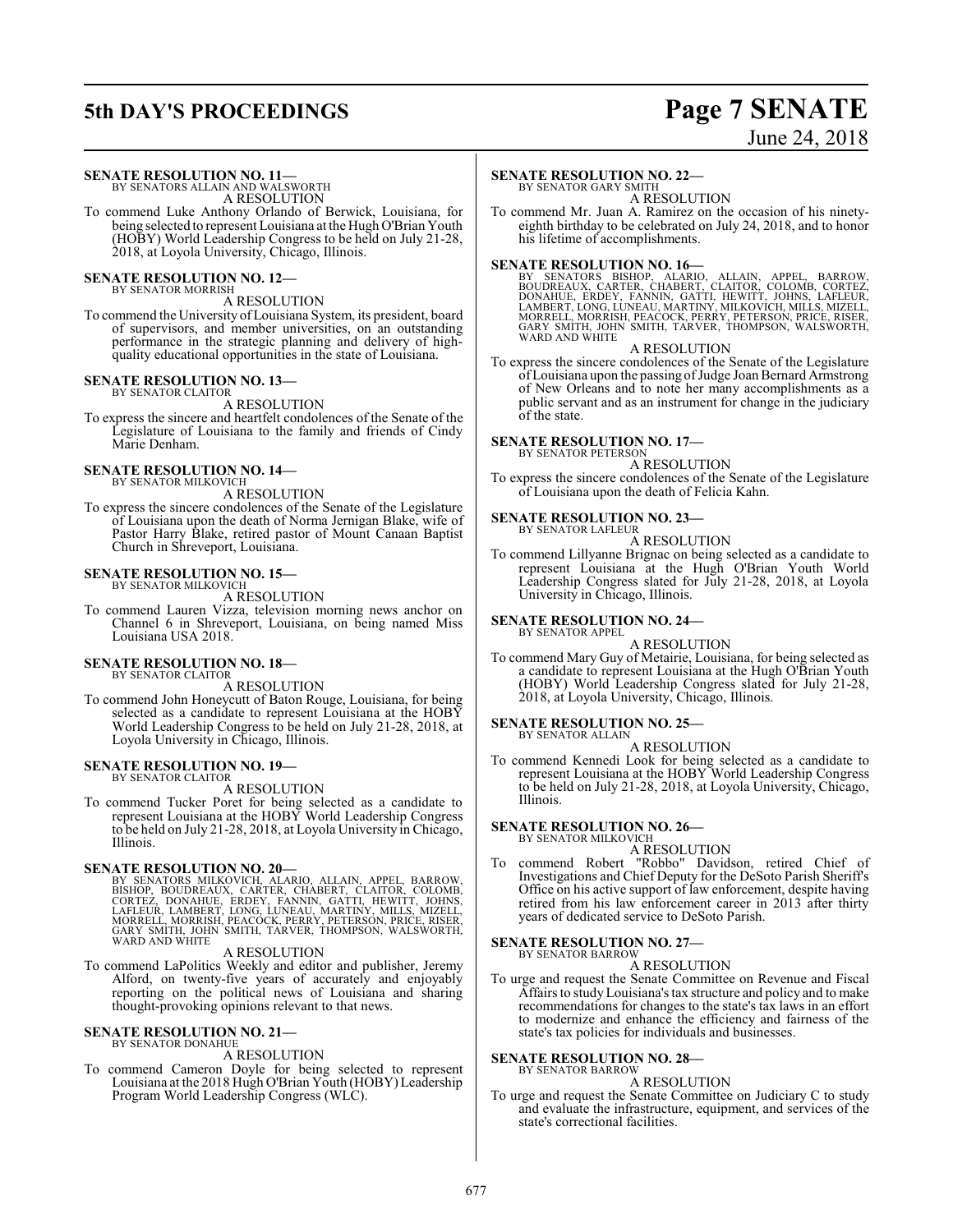# **5th DAY'S PROCEEDINGS Page 7 SENATE**

# June 24, 2018

#### **SENATE RESOLUTION NO. 11—**

BY SENATORS ALLAIN AND WALSWORTH A RESOLUTION

To commend Luke Anthony Orlando of Berwick, Louisiana, for being selected to represent Louisiana at the Hugh O'Brian Youth (HOBY) World Leadership Congress to be held on July 21-28, 2018, at Loyola University, Chicago, Illinois.

#### **SENATE RESOLUTION NO. 12—** BY SENATOR MORRISH

A RESOLUTION

To commend the University ofLouisiana System, its president, board of supervisors, and member universities, on an outstanding performance in the strategic planning and delivery of highquality educational opportunities in the state of Louisiana.

#### **SENATE RESOLUTION NO. 13—**

BY SENATOR CLAITOR A RESOLUTION

To express the sincere and heartfelt condolences of the Senate of the Legislature of Louisiana to the family and friends of Cindy Marie Denham.

#### **SENATE RESOLUTION NO. 14—** BY SENATOR MILKOVICH

A RESOLUTION

To express the sincere condolences of the Senate of the Legislature of Louisiana upon the death of Norma Jernigan Blake, wife of Pastor Harry Blake, retired pastor of Mount Canaan Baptist Church in Shreveport, Louisiana.

#### **SENATE RESOLUTION NO. 15—** BY SENATOR MILKOVICH

A RESOLUTION

To commend Lauren Vizza, television morning news anchor on Channel 6 in Shreveport, Louisiana, on being named Miss Louisiana USA 2018.

#### **SENATE RESOLUTION NO. 18—**

BY SENATOR CLAITOR

A RESOLUTION

To commend John Honeycutt of Baton Rouge, Louisiana, for being selected as a candidate to represent Louisiana at the HOBY World Leadership Congress to be held on July 21-28, 2018, at Loyola University in Chicago, Illinois.

#### **SENATE RESOLUTION NO. 19—** BY SENATOR CLAITOR

A RESOLUTION

To commend Tucker Poret for being selected as a candidate to represent Louisiana at the HOBY World Leadership Congress to be held on July 21-28, 2018, at Loyola University in Chicago, Illinois.

SENATE RESOLUTION NO. 20—<br>BY SENATORS MILKOVICH, ALLARIO, ALLAIN, APPEL, BARROW,<br>BISHOP, BOUDREAUX, CARTER, CHABERT, CLAITOR, COLOMB,<br>CORTEZ, DONAHUE, ERDEY, FANNIN, GATTI, HEWITT, JOHNS,<br>LAFLEUR, LAMBERT, LONG, LUNEAU, MA GARY SMITH, JOHN SMITH, TARVER, THOMPSON, WALSWORTH, WARD AND WHITE

#### A RESOLUTION

To commend LaPolitics Weekly and editor and publisher, Jeremy Alford, on twenty-five years of accurately and enjoyably reporting on the political news of Louisiana and sharing thought-provoking opinions relevant to that news.

#### **SENATE RESOLUTION NO. 21—** BY SENATOR DONAHUE

#### A RESOLUTION

To commend Cameron Doyle for being selected to represent Louisiana at the 2018 Hugh O'Brian Youth (HOBY) Leadership Program World Leadership Congress (WLC).

#### **SENATE RESOLUTION NO. 22—**

BY SENATOR GARY SMITH A RESOLUTION

To commend Mr. Juan A. Ramirez on the occasion of his ninetyeighth birthday to be celebrated on July 24, 2018, and to honor his lifetime of accomplishments.

SENATE RESOLUTION NO. 16—<br>BY SENATORS BISHOP, ALARIO, ALLAIN, APPEL, BARROW, BOUDREAUX, CARTER, CHABERT, CLAITOR, COLOMB, CORTEZ,<br>DONAHUE, ERDEY, FANNIN, GATTI, HEWITT, JOHNS, LAFLEUR,<br>LAMBERT, LONG, LUNEAU, MARTINY, MILKO

#### A RESOLUTION

To express the sincere condolences of the Senate of the Legislature of Louisiana upon the passing of Judge Joan Bernard Armstrong of New Orleans and to note her many accomplishments as a public servant and as an instrument for change in the judiciary of the state.

#### **SENATE RESOLUTION NO. 17—** BY SENATOR PETERSON

A RESOLUTION

To express the sincere condolences of the Senate of the Legislature of Louisiana upon the death of Felicia Kahn.

#### **SENATE RESOLUTION NO. 23—**

BY SENATOR LAFLEUR A RESOLUTION

To commend Lillyanne Brignac on being selected as a candidate to represent Louisiana at the Hugh O'Brian Youth World Leadership Congress slated for July 21-28, 2018, at Loyola University in Chicago, Illinois.

#### **SENATE RESOLUTION NO. 24—** BY SENATOR APPEL

A RESOLUTION

To commend Mary Guy of Metairie, Louisiana, for being selected as a candidate to represent Louisiana at the Hugh O'Brian Youth (HOBY) World Leadership Congress slated for July 21-28, 2018, at Loyola University, Chicago, Illinois.

#### **SENATE RESOLUTION NO. 25—**

BY SENATOR ALLAIN A RESOLUTION

To commend Kennedi Look for being selected as a candidate to represent Louisiana at the HOBY World Leadership Congress to be held on July 21-28, 2018, at Loyola University, Chicago, Illinois.

### **SENATE RESOLUTION NO. 26—**

BY SENATOR MILKOVICH A RESOLUTION

To commend Robert "Robbo" Davidson, retired Chief of Investigations and Chief Deputy for the DeSoto Parish Sheriff's Office on his active support of law enforcement, despite having retired from his law enforcement career in 2013 after thirty years of dedicated service to DeSoto Parish.

#### **SENATE RESOLUTION NO. 27—** BY SENATOR BARROW

#### A RESOLUTION

To urge and request the Senate Committee on Revenue and Fiscal Affairs to study Louisiana's tax structure and policy and to make recommendations for changes to the state's tax laws in an effort to modernize and enhance the efficiency and fairness of the state's tax policies for individuals and businesses.

#### **SENATE RESOLUTION NO. 28—** BY SENATOR BARROW

A RESOLUTION

To urge and request the Senate Committee on Judiciary C to study and evaluate the infrastructure, equipment, and services of the state's correctional facilities.